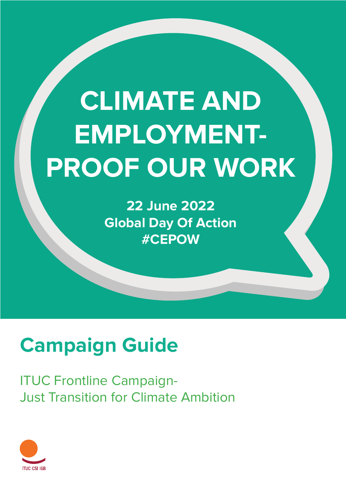# **CLIMATE AND EMPLOYMENT-PROOF OUR WORK**

**Campaign Guide:** Climate- and Employment-Proof Our Work 1

**22 June 2022 Global Day Of Action #CEPOW**

# **Campaign Guide**

ITUC Frontline Campaign-Just Transition for Climate Ambition

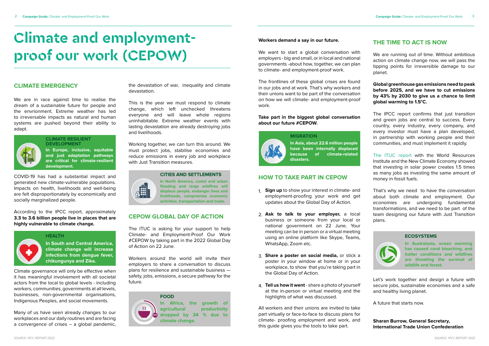# **Climate and employmentproof our work (CEPOW)**

### **CLIMATE EMERGENCY**

We are in race against time to realise the dream of a sustainable future for people and the envrionment. Extreme weather has led to irreversable impacts as natural and human systems are pushed beyond their ability to adapt.



COVID-19 has had a substantial impact and generated new climate-vulnerable populations. Impacts on health, livelihoods and well-being are felt disproportionately by economically and socially marginalized people.

According to the IPCC report, approximately **3.3 to 3.6 billion people live in places that are highly vulnerable to climate change.**

Climate governance will only be effective when it has meaningful involvement with all societal actors from the local to global levels - including workers, communities, governments at all levels, businesses, non-governmental organisations, Indigenous Peoples, and social movements.

Many of us have seen already changes to our workplaces and our daily routines and are facing a convergence of crises – a global pandemic,

the devastation of war, inequality and climate devastation.

This is the year we must respond to climate change, which left unchecked threatens everyone and will leave whole regions uninhabitable. Extreme weather events with lasting devastation are already destroying jobs and livelihoods.

We want to start a global conversation with employers - big and small, or in local and national governments -about how, together, we can plan to climate- and employment-proof work.

Working together, we can turn this around. We must protect jobs, stabilise economies and reduce emissions in every job and workplace with Just Transition measures.

### **CEPOW GLOBAL DAY OF ACTION**

《開

The ITUC is asking for your support to help Climate- and Employment-Proof Our Work #CEPOW by taking part in the 2022 Global Day of Action on 22 June.

Workers around the world will invite their employers to share a conversation to discuss plans for resilience and sustainable business safety, jobs, emissions, a secure pathway for the future.

**In Europe, inclusive, equitable and just adaptation pathways are critical for climate-resilient development.**

**CLIMATE RESILIENT DEVELOPMENT**

**In South and Central America, climate change will increase infections from dengue fever, chikungunya and Zika.**

### **HEALTH**

**In North America, costal and urban flooding and large wildfires will displace people, endanger lives and livelihoods, compromise economic activities, transportation and trade.**

### **CITIES AND SETTLEMENTS**



### **Workers demand a say in our future.**

The frontlines of these global crises are found in our jobs and at work. That's why workers and their unions want to be part of the conversation on how we will climate- and employment-proof work.

### **Take part in the biggest global conversation about our future #CEPOW.**

### **HOW TO TAKE PART IN CEPOW**

All workers and their unions are invited to take part virtually or face-to-face to discuss plans for climate- proofing employment and work, and this guide gives you the tools to take part.

### **THE TIME TO ACT IS NOW**

We are running out of time. Without ambitious action on climate change now, we will pass the tipping points for irreversible damage to our planet.

**Global greenhouse gas emissions need to peak before 2025, and we have to cut emissions by 43% by 2030 to give us a chance to limit global warming to 1.5°C.**

The IPCC report confirms that just transition and green jobs are central to success. Every country, every industry, every company, and every investor must have a plan developed, in partnership with working people and their communities, and must implement it rapidly.

[The ITUC report w](https://www.ituc-csi.org/the-green-jobs-advantage)ith the World Resources Institute and the New Climate Economy showed that investing in solar power creates 1.5 times as many jobs as investing the same amount of money in fossil fuels.

That's why we need to have the conversation about both climate and employment. Our economies are undergoing fundamental transformations, and we need to be part of the team designing our future with Just Transition plans.



Let's work together and design a future with secure jobs, sustainable economies and a safe and healthy living planet.

A future that starts now.

### **Sharan Burrow, General Secretary, International Trade Union Confederation**

**In Australasia, ocean warming has caused coral bleaching, and hotter conditions and wildfires are threating the survival of wildlife and forest.**

### **ECOSYSTEMS**

- **Sign up** to show your interest in climate- and 1. employment-proofing your work and get updates about the Global Day of Action.
- **Ask to talk to your employer,** a local 2. business or someone from your local or national government on 22 June. Your meeting can be in person or a virtual meeting using an online platform like Skype, Teams, WhatsApp, Zoom etc.
- **Share a poster on social media,** or stick a 3. poster in your window at home or in your workplace, to show that you're taking part in the Global Day of Action.
- **Tell us how it went** share a photo of yourself 4. at the in-person or virtual meeting and the highlights of what was discussed.

**In Asia, about 22.6 million people have been internally displaced because of climate-related disasters.**

# **MIGRATION**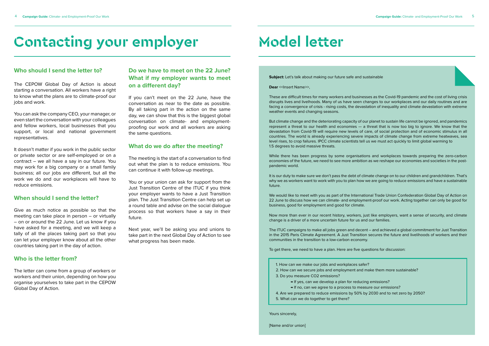# **Contacting your employer**

### **Who should I send the letter to?**

The CEPOW Global Day of Action is about starting a conversation. All workers have a right to know what the plans are to climate-proof our jobs and work.

You can ask the company CEO, your manager, or even start the conversation with your colleagues and fellow workers, local businesses that you support, or local and national government representatives.

It doesn't matter if you work in the public sector or private sector or are self-employed or on a contract – we all have a say in our future. You may work for a big company or a small family business; all our jobs are different, but all the work we do and our workplaces will have to reduce emissions.

### **When should I send the letter?**

Give as much notice as possible so that the meeting can take place in person – or virtually – on or around the 22 June. Let us know if you have asked for a meeting, and we will keep a tally of all the places taking part so that you can let your employer know about all the other countries taking part in the day of action.

### **Who is the letter from?**

The letter can come from a group of workers or workers and their union, depending on how you organise yourselves to take part in the CEPOW Global Day of Action.

### **Do we have to meet on the 22 June? What if my employer wants to meet on a different day?**

If you can't meet on the 22 June, have the conversation as near to the date as possible. By all taking part in the action on the same day, we can show that this is the biggest global conversation on climate- and employmentproofing our work and all workers are asking the same questions.

### **What do we do after the meeting?**

The meeting is the start of a conversation to find out what the plan is to reduce emissions. You can continue it with follow-up meetings.

You or your union can ask for support from the Just Transition Centre of the ITUC if you think your employer wants to have a Just Transition plan. The Just Transition Centre can help set up a round table and advise on the social dialogue process so that workers have a say in their future.

Next year, we'll be asking you and unions to take part in the next Global Day of Action to see what progress has been made.

# **Model letter**

**Subject:** Let's talk about making our future safe and sustainable

**Dear** << Insert Name>>,

These are difficult times for many workers and businesses as the Covid-19 pandemic and the cost of living crisis disrupts lives and livelhoods. Many of us have seen changes to our workplaces and our daily routines and are facing a convergence of crisis - rising costs, the devastation of inequality and climate devastation with extreme weather events and changing seasons.

But climate change and the deteriorating capacity of our planet to sustain life cannot be ignored, and pandemics represent a threat to our health and economies — a threat that is now too big to ignore. We know that the devastation from Covid-19 will require new levels of care, of social protection and of economic stimulus in all countries. The world is already experiencing severe impacts of climate change from extreme heatwaves, sea level rises, to crop failures. IPCC climate scientists tell us we must act quickly to limit global warming to 1.5 degrees to avoid massive threats.

While there has been progress by some organisations and workplaces towards preparing the zero-carbon economies of the future, we need to see more ambition as we reshape our economies and societies in the postpandemic world.

It is our duty to make sure we don't pass the debt of climate change on to our children and grandchildren. That's why we as workers want to work with you to plan how we are going to reduce emissions and have a sustainable future.

We would like to meet with you as part of the International Trade Union Confederation Global Day of Action on 22 June to discuss how we can climate- and employment-proof our work. Acting together can only be good for business, good for employment and good for climate.

Now more than ever in our recent history, workers, just like employers, want a sense of security, and climate change is a driver of a more uncertain future for us and our families.

The ITUC campaigns to make all jobs green and decent – and achieved a global commitment for Just Transition in the 2015 Paris Climate Agreement. A Just Transition secures the future and livelihoods of workers and their communities in the transition to a low-carbon economy.

To get there, we need to have a plan. Here are five questions for discussion:

Yours sincerely,

1. How can we make our jobs and workplaces safer? 2. How can we secure jobs and employment and make them more sustainable? 3. Do you measure CO2 emissions?

→ If yes, can we develop a plan for reducing emissions?

→ If no, can we agree to a process to measure our emissions?

4. Are we prepared to reduce emissions by 50% by 2030 and to net zero by 2050?

5. What can we do together to get there?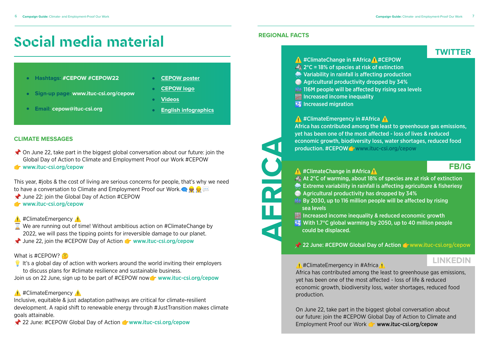- On June 22, take part in the biggest global conversation about our future: join the Global Day of Action to Climate and Employment Proof our Work #CEPOW
- **T** [www.ituc-csi.org/cepow](https://petitions.ituc-csi.org/cepow?lang=en)

# **Social media material**

### **CLIMATE MESSAGES**

This year, #jobs & the cost of living are serious concerns for people, that's why we need to have a conversation to Climate and Employment Proof our Work.  $\bullet$ 

- June 22: join the Global Day of Action #CEPOW
- [www.ituc-csi.org/cepow](https://petitions.ituc-csi.org/cepow?lang=en)
- <u></u><del></del> #ClimateEmergency ▲
- $\overline{\mathbf{X}}$  We are running out of time! Without ambitious action on #ClimateChange by 2022, we will pass the tipping points for irreversible damage to our planet.
- I June 22, join the #CEPOW Day of Action **of [www.ituc-csi.org/cepow](https://petitions.ituc-csi.org/cepow?lang=en)**

### What is #CEPOW?

 $\bullet$  It's a global day of action with workers around the world inviting their employers to discuss plans for #climate resilience and sustainable business.

Join us on 22 June, sign up to be part of #CEPOW now [www.ituc-csi.org/cepow](https://petitions.ituc-csi.org/cepow?lang=en)

### <u></u> #ClimateEmergency ▲

On June 22, take part in the biggest global conversation about our future: join the #CEPOW Global Day of Action to Climate and Employment Proof our Work *T* [www.ituc-csi.org/cepow](https://petitions.ituc-csi.org/cepow?lang=en)

Inclusive, equitable & just adaptation pathways are critical for climate-resilient development. A rapid shift to renewable energy through #JustTransition makes climate goals attainable.

<sup>2</sup> 22 June: #CEPOW Global Day of Action **Contract Winds** 22 June: #CEPOW Global Day of Action

 $\bigwedge$ #ClimateEmergency in #Africa $\bigwedge$ Africa has contributed among the least to greenhouse gas emissions, yet has been one of the most affected - loss of life & reduced economic growth, biodiversity loss, water shortages, reduced food production. **LINKEDIN**

### **REGIONAL FACTS**

<u>A</u> #ClimateChange in #Africa A At 2°C of warming, about 18% of species are at risk of extinction **Extreme variability in rainfall is affecting agriculture & fisheriesy**  Agricultural productivity has dropped by 34% **By 2030, up to 116 million people will be affected by rising** sea levels

 Increased income inequality & reduced economic growth **With 1.7°C global warming by 2050, up to 40 million people** 

# **TWITTER**

## **FB/IG**

**AFRICA**

 $\frac{1}{\Gamma}$ 

 $\blacktriangleleft$  1

KI

<u></u> #ClimateChange in #Africa **A** #CEPOW  $2^{\circ}$ C = 18% of species at risk of extinction Variability in rainfall is affecting production Agricultural productivity dropped by 34% **EM** 116M people will be affected by rising sea levels Increased income inequality **Increased migration** 

 $\bigwedge$  #ClimateEmergency in #Africa  $\bigwedge$ Africa has contributed among the least to greenhouse gas emissions, yet has been one of the most affected - loss of lives & reduced economic growth, biodiversity loss, water shortages, reduced food production. #CEPOWG [www.ituc-csi.org/cepow](https://petitions.ituc-csi.org/cepow?lang=en)

- **Hashtags: #CEPOW #CEPOW22**
- **Sign-up page: [www.ituc-csi.org/cepow](https://petitions.ituc-csi.org/cepow?lang=en)**
- **Email: [cepow@ituc-csi.org](mailto:cepow%40ituc-csi.org?subject=)**
- **[CEPOW poster](https://trello.com/c/c42DyMdi/217-poster)**
- **[CEPOW logo](https://trello.com/c/18jpduxU/211-logos)**
- **[Videos](https://trello.com/c/IoMvAinW/213-video)**
- **[English infographics](https://trello.com/c/ZqhlVswT/212-english-infographics)**

- 
- could be displaced.

<sup>2</sup> 22 June: #CEPOW Global Day of Action [www.ituc-csi.org/cepow](http://)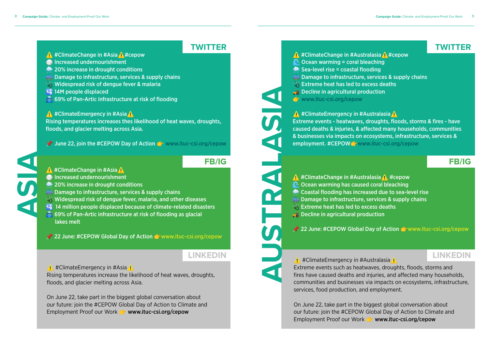### <u></u> #ClimateChange in #Asia **A** #cepow

- **Increased undernourishment**
- **20% increase in drought conditions**
- **Eth** Damage to infrastructure, services & supply chains
- Widespread risk of dengue fever & malaria
- $\frac{1}{4}$  14M people displaced
- 69% of Pan-Artic infrastructure at risk of flooding

### ◯ #ClimateEmergency in #Asia △

<u>∧</u> #ClimateEmergency in #Australasia Extreme events such as heatwaves, droughts, floods, storms and fires have caused deaths and injuries, and affected many households, communities and businesses via impacts on ecosystems, infrastructure, services, food production, and employment.

On June 22, take part in the biggest global conversation about our future: join the #CEPOW Global Day of Action to Climate and Employment Proof our Work **<b>F** [www.ituc-csi.org/cepow](https://petitions.ituc-csi.org/cepow?lang=en)

On June 22, take part in the biggest global conversation about our future: join the #CEPOW Global Day of Action to Climate and Employment Proof our Work **C** [www.ituc-csi.org/cepow](https://petitions.ituc-csi.org/cepow?lang=en)

<u>∧</u> #ClimateChange in #Australasia ∧ #cepow  $\heartsuit$  Ocean warming = coral bleaching Sea-level rise = coastal flooding **NA Damage to infrastructure, services & supply chains**  $\mathbb{Q} \mathcal{E}$  Extreme heat has led to excess deaths **RA** Decline in agricultural production **C** [www.ituc-csi.org/cepow](https://petitions.ituc-csi.org/cepow?lang=en) **TWITTER TWITTER**

<u>∧</u> #ClimateEmergency in #Australasia ∧ Extreme events - heatwaves, droughts, floods, storms & fires - have caused deaths & injuries, & affected many households, communities & businesses via impacts on ecosystems, infrastructure, services & employment. #CEPOWG [www.ituc-csi.org/cepow](https://petitions.ituc-csi.org/cepow?lang=en) **LINKEDIN**<br> **LINKEDIN**<br> **LINKEDIN**<br> **LINKEDIN**<br> **LINKEDIN**<br> **LINKEDIN**<br> **LINKEDIN**<br> **LINKEDIN**<br> **LINKEDIN**<br> **LINKEDIN**<br> **LINKEDIN**<br> **LINKEDIN**<br> **LINKEDIN**<br> **LINKEDIN**<br> **LINKEDIN**<br> **LINKEDIN**<br> **LINKEDIN**<br> **LINKEDIN**<br> **LINKE** 

⚠ #ClimateChange in #Australasia⚠ #cepow **C** Ocean warming has caused coral bleaching **Coastal flooding has increased due to sea-level rise M** Damage to infrastructure, services & supply chains  $\mathbb{Q} \mathbb{C}$  Extreme heat has led to excess deaths  $\frac{1}{26}$  Decline in agricultural production

 $\triangle$  22 June: #CEPOW Global Day of Action  $\triangle$  [www.ituc-csi.org/cepow](https://petitions.ituc-csi.org/cepow?lang=en)

Rising temperatures increases thes likelihood of heat waves, droughts, floods, and glacier melting across Asia.

 $\blacktriangleright$  June 22, join the #CEPOW Day of Action  $\blacktriangleright$  [www.ituc-csi.org/cepow](https://petitions.ituc-csi.org/cepow?lang=en)

- **∧** #ClimateChange in #Asia ∧
- **Increased undernourishment**

- **20% increase in drought conditions**
- **静 Damage to infrastructure, services & supply chains**
- $\mathbb{Q}^{\ell}$  Widespread risk of dengue fever, malaria, and other diseases
- $\mathbb{Z}$  14 million people displaced because of climate-related disasters
- $\hat{\bullet}$  69% of Pan-Artic infrastructure at risk of flooding as glacial lakes melt

 $\triangle$  22 June: #CEPOW Global Day of Action  $\triangle$  www.ituc-csi.org/cepow

<u>↑</u> #ClimateEmergency in #Asia

Rising temperatures increase the likelihood of heat waves, droughts, floods, and glacier melting across Asia.

# **FB/IG FB/IG**

**ASIA**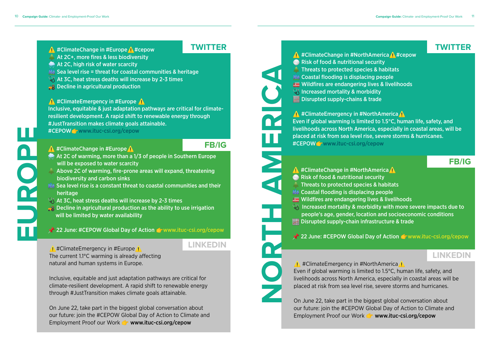- <u></u> #ClimateChange in #Europe ↑ #cepow
- **At 2C+, more fires & less biodiversity**
- At 2C, high risk of water scarcity
- **EM** Sea level rise = threat for coastal communities & heritage
- $\mathbb{Q} \mathfrak{c}$  At 3C, heat stress deaths will increase by 2-3 times
- **B** Decline in agricultural production

<u>∧</u> #ClimateEmergency in #Europe Inclusive, equitable & just adaptation pathways are critical for climateresilient development. A rapid shift to renewable energy through #JustTransition makes climate goals attainable. #CEPOWG [www.ituc-csi.org/cepow](https://petitions.ituc-csi.org/cepow?lang=en)

<u>A</u> #ClimateChange in #Europe A

◯ #ClimateEmergency in #NorthAmerica ( Even if global warming is limited to 1.5°C, human life, safety, and livelihoods across North America, especially in coastal areas will be placed at risk from sea level rise, severe storms and hurricanes.

On June 22, take part in the biggest global conversation about our future: join the #CEPOW Global Day of Action to Climate and Employment Proof our Work **T** [www.ituc-csi.org/cepow](https://petitions.ituc-csi.org/cepow?lang=en)

<u>↑</u> #ClimateEmergency in #Europe <u>↑</u> The current 1.1°C warming is already affecting natural and human systems in Europe.

On June 22, take part in the biggest global conversation about our future: join the #CEPOW Global Day of Action to Climate and Employment Proof our Work **C** [www.ituc-csi.org/cepow](https://petitions.ituc-csi.org/cepow?lang=en)

<u>∧</u> #ClimateChange in #NorthAmerica ↑ #cepow **Risk of food & nutritional security A** Threats to protected species & habitats **EM** Coastal flooding is displacing people Wildfires are endangering lives & livelihoods  $\mathbb{U}\S$  Increased mortality & morbidity **Disrupted supply-chains & trade** 

◯ #ClimateEmergency in #NorthAmerica A Even if global warming is limited to 1.5°C, human life, safety, and livelihoods across North America, especially in coastal areas, will be placed at risk from sea level rise, severe storms & hurricanes. #CEPOWG [www.ituc-csi.org/cepow](https://petitions.ituc-csi.org/cepow?lang=en)

<u>∧</u> #ClimateChange in #NorthAmerica A **Risk of food & nutritional security**  Threats to protected species & habitats **静 Coastal flooding is displacing people** Wildfires are endangering lives & livelihoods  $\mathbb{Q} \mathbb{C}$  Increased mortality & morbidity with more severe impacts due to  $\mathbb{R}$  people's age, gender, location and socioeconomic conditions **EXALLET** Disrupted supply-chain infrastructure & trade

 $\lambda$  22 June: #CEPOW Global Day of Action [www.ituc-csi.org/cepow](https://petitions.ituc-csi.org/cepow?lang=en)

Inclusive, equitable and just adaptation pathways are critical for climate-resilient development. A rapid shift to renewable energy through #JustTransition makes climate goals attainable.

# **TWITTER TWITTER**

# **FB/IG**

**FB/IG**

# **LINKEDIN**

# **LINKEDIN**

**NORTH AMERICA**

- At 2C of warming, more than a 1/3 of people in Southern Europe will be exposed to water scarcity
- Above 2C of warming, fire-prone areas will expand, threatening biodiversity and carbon sinks
- **MAL Sea level rise is a constant threat to coastal communities and their** heritage
- $\mathbb{Q} \mathfrak{k}$  At 3C, heat stress deaths will increase by 2-3 times
- $\frac{1}{20}$  Decline in agricultural production as the ability to use irrigation will be limited by water availability
- $\chi$  22 June: #CEPOW Global Day of Action [www.ituc-csi.org/cepow](https://petitions.ituc-csi.org/cepow?lang=en)